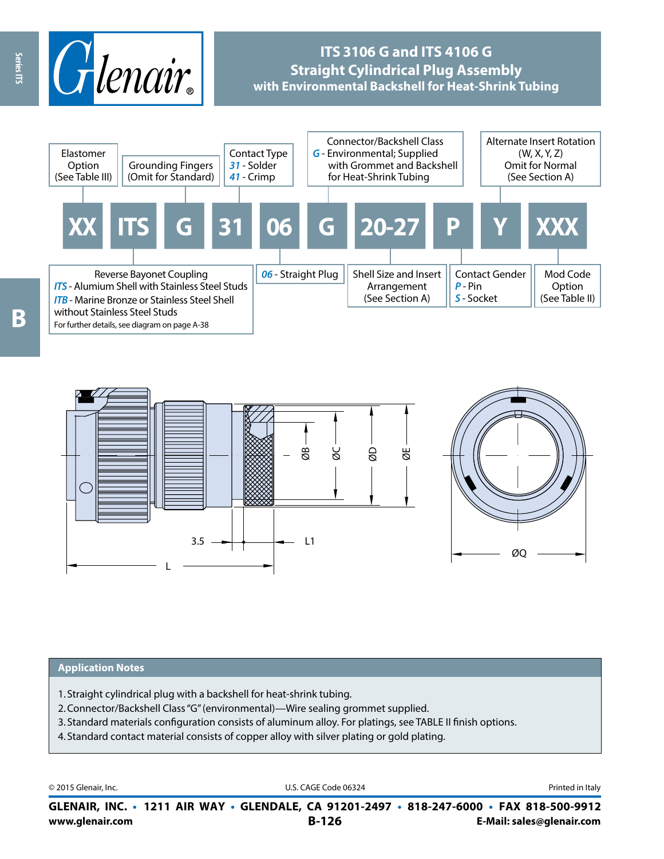

# **ITS 3106 G and ITS 4106 G Straight Cylindrical Plug Assembly with Environmental Backshell for Heat-Shrink Tubing**



L ØB ØC ØD ØE  $3.5$   $\rightarrow$   $\rightarrow$   $\rightarrow$   $\rightarrow$  L1 ØQ

#### **Application Notes**

- 1. Straight cylindrical plug with a backshell for heat-shrink tubing.
- 2.Connector/Backshell Class "G" (environmental)—Wire sealing grommet supplied.
- 3. Standard materials configuration consists of aluminum alloy. For platings, see TABLE II finish options.
- 4. Standard contact material consists of copper alloy with silver plating or gold plating.

© 2015 Glenair, Inc. **Discription Construction Construction Construction Construction Construction Construction Construction Construction Construction Construction Construction Construction Construction Construction Constr** 

**www.glenair.com B-126 E-Mail: sales@glenair.com GLENAIR, INC. • 1211 AIR WAY • GLENDALE, CA 91201-2497 • 818-247-6000 • FAX 818-500-9912**

Series ITS